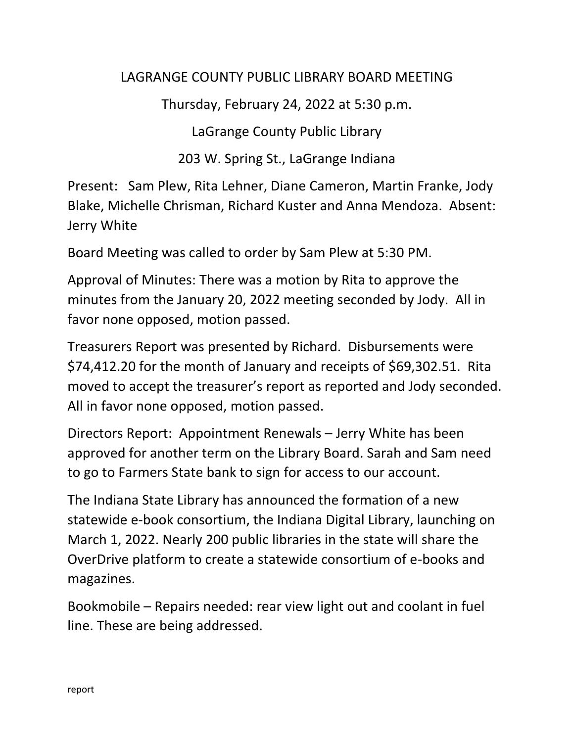## LAGRANGE COUNTY PUBLIC LIBRARY BOARD MEETING

Thursday, February 24, 2022 at 5:30 p.m.

LaGrange County Public Library

203 W. Spring St., LaGrange Indiana

Present: Sam Plew, Rita Lehner, Diane Cameron, Martin Franke, Jody Blake, Michelle Chrisman, Richard Kuster and Anna Mendoza. Absent: Jerry White

Board Meeting was called to order by Sam Plew at 5:30 PM.

Approval of Minutes: There was a motion by Rita to approve the minutes from the January 20, 2022 meeting seconded by Jody. All in favor none opposed, motion passed.

Treasurers Report was presented by Richard. Disbursements were \$74,412.20 for the month of January and receipts of \$69,302.51. Rita moved to accept the treasurer's report as reported and Jody seconded. All in favor none opposed, motion passed.

Directors Report: Appointment Renewals – Jerry White has been approved for another term on the Library Board. Sarah and Sam need to go to Farmers State bank to sign for access to our account.

The Indiana State Library has announced the formation of a new statewide e-book consortium, the Indiana Digital Library, launching on March 1, 2022. Nearly 200 public libraries in the state will share the OverDrive platform to create a statewide consortium of e-books and magazines.

Bookmobile – Repairs needed: rear view light out and coolant in fuel line. These are being addressed.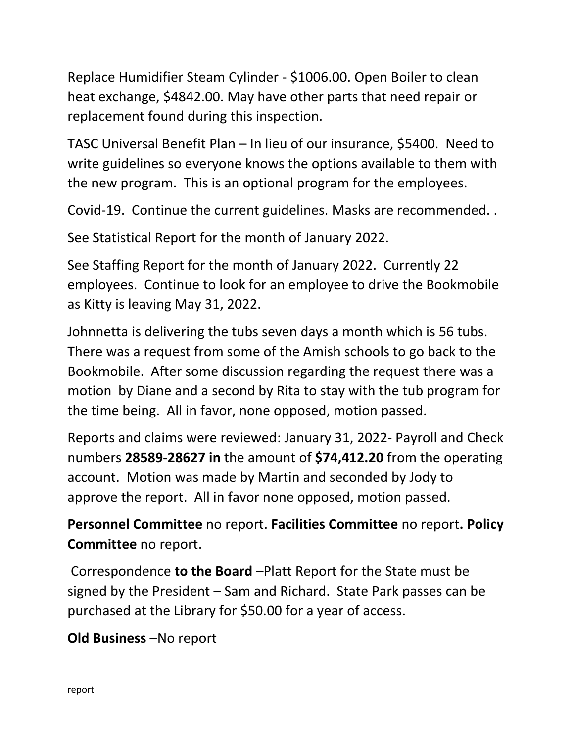Replace Humidifier Steam Cylinder - \$1006.00. Open Boiler to clean heat exchange, \$4842.00. May have other parts that need repair or replacement found during this inspection.

TASC Universal Benefit Plan – In lieu of our insurance, \$5400. Need to write guidelines so everyone knows the options available to them with the new program. This is an optional program for the employees.

Covid-19. Continue the current guidelines. Masks are recommended. .

See Statistical Report for the month of January 2022.

See Staffing Report for the month of January 2022. Currently 22 employees. Continue to look for an employee to drive the Bookmobile as Kitty is leaving May 31, 2022.

Johnnetta is delivering the tubs seven days a month which is 56 tubs. There was a request from some of the Amish schools to go back to the Bookmobile. After some discussion regarding the request there was a motion by Diane and a second by Rita to stay with the tub program for the time being. All in favor, none opposed, motion passed.

Reports and claims were reviewed: January 31, 2022- Payroll and Check numbers **28589-28627 in** the amount of **\$74,412.20** from the operating account. Motion was made by Martin and seconded by Jody to approve the report. All in favor none opposed, motion passed.

**Personnel Committee** no report. **Facilities Committee** no report**. Policy Committee** no report.

Correspondence **to the Board** –Platt Report for the State must be signed by the President – Sam and Richard. State Park passes can be purchased at the Library for \$50.00 for a year of access.

**Old Business** –No report